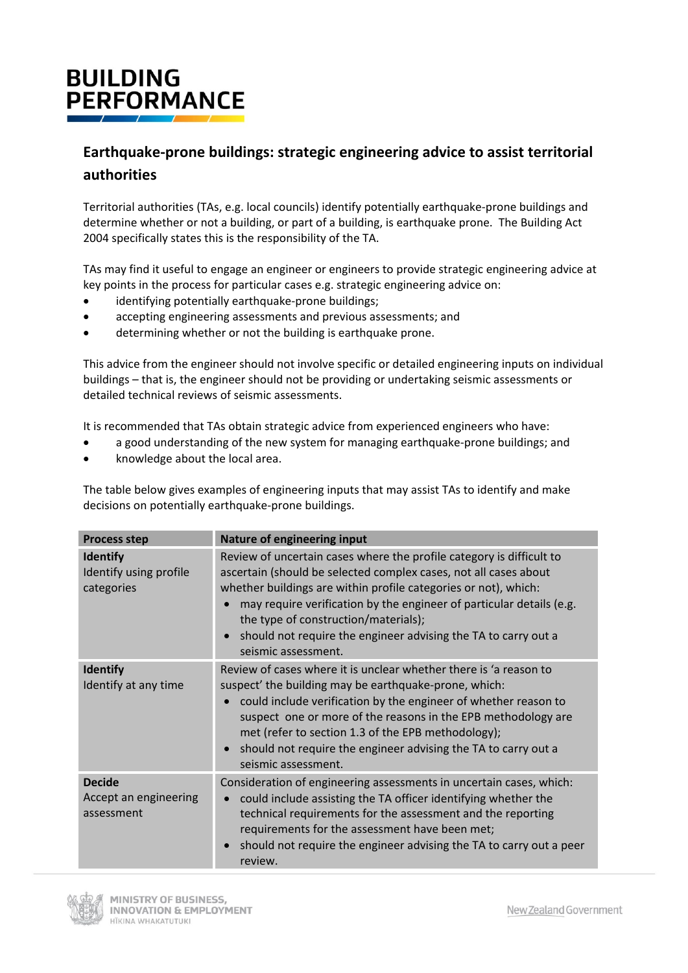## **BUILDING PERFORMANCE**

## **Earthquake-prone buildings: strategic engineering advice to assist territorial authorities**

Territorial authorities (TAs, e.g. local councils) identify potentially earthquake-prone buildings and determine whether or not a building, or part of a building, is earthquake prone. The Building Act 2004 specifically states this is the responsibility of the TA.

TAs may find it useful to engage an engineer or engineers to provide strategic engineering advice at key points in the process for particular cases e.g. strategic engineering advice on:

- identifying potentially earthquake-prone buildings;
- accepting engineering assessments and previous assessments; and
- determining whether or not the building is earthquake prone.

This advice from the engineer should not involve specific or detailed engineering inputs on individual buildings – that is, the engineer should not be providing or undertaking seismic assessments or detailed technical reviews of seismic assessments.

It is recommended that TAs obtain strategic advice from experienced engineers who have:

- a good understanding of the new system for managing earthquake-prone buildings; and
- knowledge about the local area.

The table below gives examples of engineering inputs that may assist TAs to identify and make decisions on potentially earthquake-prone buildings.

| <b>Process step</b>                                     | <b>Nature of engineering input</b>                                                                                                                                                                                                                                                                                                                                                                                                             |
|---------------------------------------------------------|------------------------------------------------------------------------------------------------------------------------------------------------------------------------------------------------------------------------------------------------------------------------------------------------------------------------------------------------------------------------------------------------------------------------------------------------|
| <b>Identify</b><br>Identify using profile<br>categories | Review of uncertain cases where the profile category is difficult to<br>ascertain (should be selected complex cases, not all cases about<br>whether buildings are within profile categories or not), which:<br>may require verification by the engineer of particular details (e.g.<br>$\bullet$<br>the type of construction/materials);<br>should not require the engineer advising the TA to carry out a<br>$\bullet$<br>seismic assessment. |
| <b>Identify</b><br>Identify at any time                 | Review of cases where it is unclear whether there is 'a reason to<br>suspect' the building may be earthquake-prone, which:<br>could include verification by the engineer of whether reason to<br>$\bullet$<br>suspect one or more of the reasons in the EPB methodology are<br>met (refer to section 1.3 of the EPB methodology);<br>should not require the engineer advising the TA to carry out a<br>$\bullet$<br>seismic assessment.        |
| <b>Decide</b><br>Accept an engineering<br>assessment    | Consideration of engineering assessments in uncertain cases, which:<br>could include assisting the TA officer identifying whether the<br>$\bullet$<br>technical requirements for the assessment and the reporting<br>requirements for the assessment have been met;<br>should not require the engineer advising the TA to carry out a peer<br>$\bullet$<br>review.                                                                             |